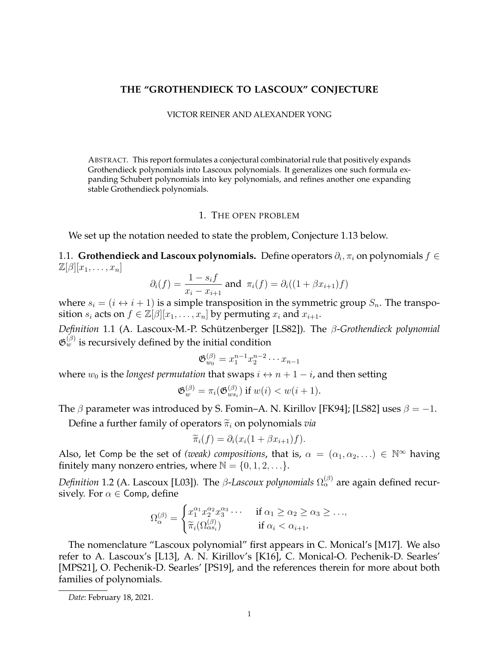## **THE "GROTHENDIECK TO LASCOUX" CONJECTURE**

## VICTOR REINER AND ALEXANDER YONG

ABSTRACT. This report formulates a conjectural combinatorial rule that positively expands Grothendieck polynomials into Lascoux polynomials. It generalizes one such formula expanding Schubert polynomials into key polynomials, and refines another one expanding stable Grothendieck polynomials.

## 1. THE OPEN PROBLEM

We set up the notation needed to state the problem, Conjecture 1.13 below.

1.1. **Grothendieck and Lascoux polynomials.** Define operators  $\partial_i$ ,  $\pi_i$  on polynomials  $f \in$  $\mathbb{Z}[\beta][x_1,\ldots,x_n]$ 

$$
\partial_i(f) = \frac{1 - s_i f}{x_i - x_{i+1}}
$$
 and  $\pi_i(f) = \partial_i((1 + \beta x_{i+1})f)$ 

where  $s_i = (i \leftrightarrow i + 1)$  is a simple transposition in the symmetric group  $S_n$ . The transposition  $s_i$  acts on  $f \in \mathbb{Z}[\beta][x_1,\ldots,x_n]$  by permuting  $x_i$  and  $x_{i+1}$ .

*Definition* 1.1 (A. Lascoux-M.-P. Schützenberger [LS82]). The β-Grothendieck polynomial  $\mathfrak{G}_w^{(\beta)}$  is recursively defined by the initial condition

$$
\mathfrak{G}_{w_0}^{(\beta)} = x_1^{n-1} x_2^{n-2} \cdots x_{n-1}
$$

where  $w_0$  is the *longest permutation* that swaps  $i \leftrightarrow n+1-i$ , and then setting

$$
\mathfrak{G}_w^{(\beta)} = \pi_i(\mathfrak{G}_{ws_i}^{(\beta)}) \text{ if } w(i) < w(i+1).
$$

The  $\beta$  parameter was introduced by S. Fomin–A. N. Kirillov [FK94]; [LS82] uses  $\beta = -1$ .

Define a further family of operators  $\tilde{\pi}_i$  on polynomials *via* 

$$
\widetilde{\pi}_i(f) = \partial_i(x_i(1 + \beta x_{i+1})f).
$$

Also, let Comp be the set of *(weak) compositions*, that is,  $\alpha = (\alpha_1, \alpha_2, ...) \in \mathbb{N}^{\infty}$  having finitely many nonzero entries, where  $\mathbb{N} = \{0, 1, 2, \ldots\}.$ 

Definition 1.2 (A. Lascoux [L03]). The  $\beta$ -*Lascoux polynomials*  $\Omega^{(\beta)}_\alpha$  are again defined recursively. For  $\alpha \in \text{Comp}, \text{define}$ 

$$
\Omega_{\alpha}^{(\beta)} = \begin{cases} x_1^{\alpha_1} x_2^{\alpha_2} x_3^{\alpha_3} \cdots & \text{if } \alpha_1 \ge \alpha_2 \ge \alpha_3 \ge \dots, \\ \widetilde{\pi}_i(\Omega_{\alpha s_i}^{(\beta)}) & \text{if } \alpha_i < \alpha_{i+1}. \end{cases}
$$

The nomenclature "Lascoux polynomial" first appears in C. Monical's [M17]. We also refer to A. Lascoux's [L13], A. N. Kirillov's [K16], C. Monical-O. Pechenik-D. Searles' [MPS21], O. Pechenik-D. Searles' [PS19], and the references therein for more about both families of polynomials.

*Date*: February 18, 2021.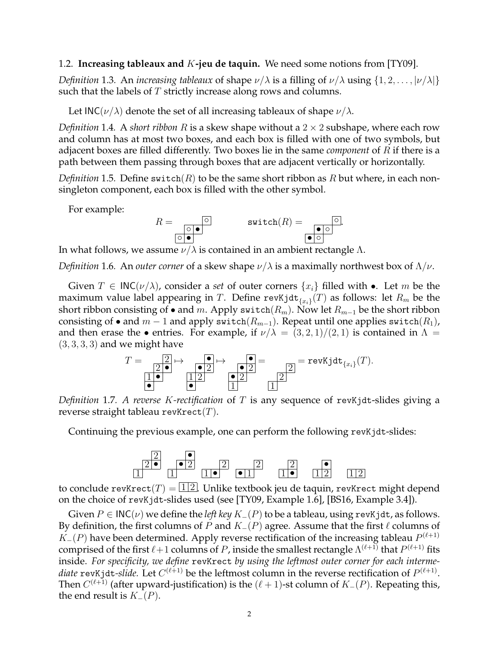## 1.2. **Increasing tableaux and** K**-jeu de taquin.** We need some notions from [TY09].

*Definition* 1.3. An *increasing tableaux* of shape  $\nu/\lambda$  is a filling of  $\nu/\lambda$  using  $\{1, 2, \ldots, |\nu/\lambda|\}$ such that the labels of T strictly increase along rows and columns.

Let INC( $\nu/\lambda$ ) denote the set of all increasing tableaux of shape  $\nu/\lambda$ .

*Definition* 1.4*.* A *short ribbon* R is a skew shape without a 2 × 2 subshape, where each row and column has at most two boxes, and each box is filled with one of two symbols, but adjacent boxes are filled differently. Two boxes lie in the same *component* of R if there is a path between them passing through boxes that are adjacent vertically or horizontally.

*Definition* 1.5. Define switch $(R)$  to be the same short ribbon as R but where, in each nonsingleton component, each box is filled with the other symbol.

For example:

$$
R = \n\begin{array}{c}\n\circ \\
\circ \\
\circ \\
\circ\n\end{array}\n\qquad\n\text{switch}(R) = \n\begin{array}{c}\n\circ \\
\bullet \\
\circ \\
\circ\n\end{array}
$$

In what follows, we assume  $\nu/\lambda$  is contained in an ambient rectangle  $\Lambda$ .

*Definition* 1.6. An *outer corner* of a skew shape  $\nu/\lambda$  is a maximally northwest box of  $\Lambda/\nu$ .

Given  $T \in \mathsf{INC}(\nu/\lambda)$ , consider a *set* of outer corners  $\{x_i\}$  filled with •. Let m be the maximum value label appearing in  $T.$  Define revKjd $\mathsf{t}_{\{x_i\}}(T)$  as follows: let  $R_m$  be the short ribbon consisting of • and m. Apply switch( $R_m$ ). Now let  $R_{m-1}$  be the short ribbon consisting of • and  $m-1$  and apply switch( $R_{m-1}$ ). Repeat until one applies switch( $R_1$ ), and then erase the • entries. For example, if  $\nu/\lambda = (3, 2, 1)/(2, 1)$  is contained in  $\Lambda =$  $(3, 3, 3, 3)$  and we might have



*Definition* 1.7*. A reverse* K*-rectification* of T is any sequence of revKjdt-slides giving a reverse straight tableau revKrect $(T)$ .

Continuing the previous example, one can perform the following revKjdt-slides:



to conclude revKrect $(T) = \boxed{1/2}$ . Unlike textbook jeu de taquin, revKrect might depend on the choice of revKjdt-slides used (see [TY09, Example 1.6], [BS16, Example 3.4]).

Given  $P ∈ \mathsf{INC}(\nu)$  we define the *left key*  $K_-(P)$  to be a tableau, using revKjdt, as follows. By definition, the first columns of P and  $K_-(P)$  agree. Assume that the first  $\ell$  columns of  $K_{-}(P)$  have been determined. Apply reverse rectification of the increasing tableau  $P^{(\ell+1)}$ comprised of the first  $\ell+1$  columns of  $P$ , inside the smallest rectangle  $\Lambda^{(\ell+1)}$  that  $P^{(\ell+1)}$  fits inside. *For specificity, we define* revKrect *by using the leftmost outer corner for each interme*diate  ${\tt revKjdt}\mbox{-}slide.$  Let  $C^{(\ell+1)}$  be the leftmost column in the reverse rectification of  $P^{(\ell+1)}.$ Then  $C^{(\ell+1)}$  (after upward-justification) is the  $(\ell+1)$ -st column of  $K_{-}(P)$ . Repeating this, the end result is  $K_-(P)$ .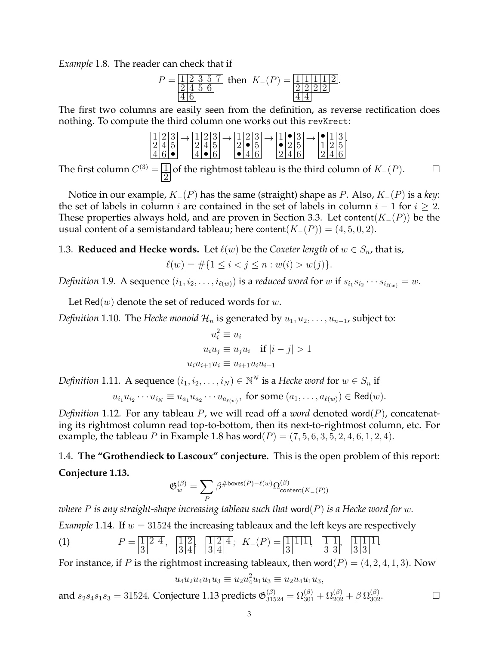*Example* 1.8*.* The reader can check that if

$$
P = \frac{1 \ 2 \ 3 \ 5 \ 7}{2 \ 4 \ 5 \ 6}
$$
 then  $K_{-}(P) = \frac{1 \ 1 \ 1 \ 1 \ 1 \ 1 \ 2}{2 \ 2 \ 2 \ 2}$ 

.

The first two columns are easily seen from the definition, as reverse rectification does nothing. To compute the third column one works out this revKrect:

|  |     |  | . |  | . |                       |  |  |  |                       |
|--|-----|--|---|--|---|-----------------------|--|--|--|-----------------------|
|  | . . |  |   |  |   | $\tilde{\phantom{a}}$ |  |  |  | $\tilde{\phantom{a}}$ |
|  |     |  |   |  |   |                       |  |  |  |                       |

The first column  $C^{(3)} = \boxed{\frac{1}{2}}$  $\overline{2}$ of the rightmost tableau is the third column of  $K_-(P)$ .  $□$ 

Notice in our example, K−(P) has the same (straight) shape as P. Also, K−(P) is a *key*: the set of labels in column *i* are contained in the set of labels in column  $i - 1$  for  $i \ge 2$ . These properties always hold, and are proven in Section 3.3. Let content( $K_-(P)$ ) be the usual content of a semistandard tableau; here content( $K_-(P)$ ) = (4, 5, 0, 2).

1.3. **Reduced and Hecke words.** Let  $\ell(w)$  be the *Coxeter length* of  $w \in S_n$ , that is,

$$
\ell(w) = \#\{1 \le i < j \le n : w(i) > w(j)\}.
$$

*Definition* 1.9. A sequence  $(i_1, i_2, \ldots, i_{\ell(w)})$  is a *reduced word* for  $w$  if  $s_{i_1} s_{i_2} \cdots s_{i_{\ell(w)}} = w$ .

Let Red $(w)$  denote the set of reduced words for  $w$ .

*Definition* 1.10*.* The *Hecke monoid*  $\mathcal{H}_n$  is generated by  $u_1, u_2, \ldots, u_{n-1}$ , subject to:

$$
u_i^2 \equiv u_i
$$
  

$$
u_i u_j \equiv u_j u_i \quad \text{if } |i - j| > 1
$$
  

$$
u_i u_{i+1} u_i \equiv u_{i+1} u_i u_{i+1}
$$

*Definition* 1.11. A sequence  $(i_1, i_2, \ldots, i_N) \in \mathbb{N}^N$  is a *Hecke word* for  $w \in S_n$  if

 $u_{i_1}u_{i_2}\cdots u_{i_N}\equiv u_{a_1}u_{a_2}\cdots u_{a_{\ell(w)}}, \text{ for some } (a_1,\ldots,a_{\ell(w)})\in \textsf{Red}(w).$ 

*Definition* 1.12*.* For any tableau P, we will read off a *word* denoted word(P), concatenating its rightmost column read top-to-bottom, then its next-to-rightmost column, etc. For example, the tableau P in Example 1.8 has word $(P) = (7, 5, 6, 3, 5, 2, 4, 6, 1, 2, 4)$ .

# 1.4. **The "Grothendieck to Lascoux" conjecture.** This is the open problem of this report: **Conjecture 1.13.**

$$
\mathfrak{G}_w^{(\beta)}=\sum_{P}\beta^{\#\mathrm{boxes}(P)-\ell(w)}\Omega_{\mathrm{content}(K_-(P))}^{(\beta)}
$$

*where* P *is any straight-shape increasing tableau such that* word(P) *is a Hecke word for* w*.*

*Example* 1.14*.* If  $w = 31524$  the increasing tableaux and the left keys are respectively

(1) 
$$
P = \frac{1}{2} \frac{1}{4}, \frac{1}{3} \frac{1}{4}, \frac{1}{3} \frac{1}{4}; K_{-}(P) = \frac{1}{3} \frac{1}{11}, \frac{1}{3} \frac{1}{3}, \frac{1}{3} \frac{1}{3}.
$$

For instance, if P is the rightmost increasing tableaux, then word $(P) = (4, 2, 4, 1, 3)$ . Now

$$
u_4u_2u_4u_1u_3 \equiv u_2u_4^2u_1u_3 \equiv u_2u_4u_1u_3,
$$

and  $s_2s_4s_1s_3 = 31524$ . Conjecture 1.13 predicts  $\mathfrak{G}^{(\beta)}_{31524} = \Omega^{(\beta)}_{301} + \Omega^{(\beta)}_{202} + \beta \,\Omega^{(\beta)}_{302}$ .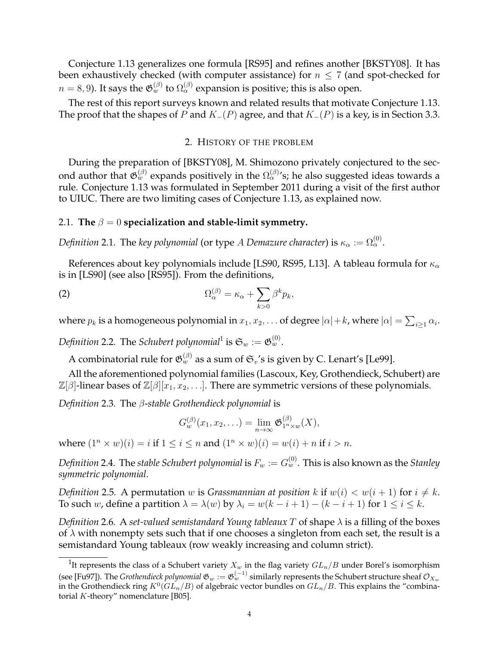Conjecture 1.13 generalizes one formula [RS95] and refines another [BKSTY08]. It has been exhaustively checked (with computer assistance) for  $n \leq 7$  (and spot-checked for  $n=8,9$ ). It says the  $\mathfrak{G}_w^{(\beta)}$  to  $\Omega_\alpha^{(\beta)}$  expansion is positive; this is also open.

The rest of this report surveys known and related results that motivate Conjecture 1.13. The proof that the shapes of P and  $K_-(P)$  agree, and that  $K_-(P)$  is a key, is in Section 3.3.

## 2. HISTORY OF THE PROBLEM

During the preparation of [BKSTY08], M. Shimozono privately conjectured to the second author that  $\mathfrak{G}_w^{(\beta)}$  expands positively in the  $\Omega_\alpha^{(\beta)}$ 's; he also suggested ideas towards a rule. Conjecture 1.13 was formulated in September 2011 during a visit of the first author to UIUC. There are two limiting cases of Conjecture 1.13, as explained now.

## 2.1. The  $\beta = 0$  specialization and stable-limit symmetry.

*Definition* 2.1. The *key polynomial* (or type  $A$  *Demazure character*) is  $\kappa_\alpha:=\Omega_\alpha^{(0)}.$ 

References about key polynomials include [LS90, RS95, L13]. A tableau formula for  $\kappa_{\alpha}$ is in [LS90] (see also [RS95]). From the definitions,

(2) 
$$
\Omega_{\alpha}^{(\beta)} = \kappa_{\alpha} + \sum_{k>0} \beta^{k} p_{k},
$$

where  $p_k$  is a homogeneous polynomial in  $x_1, x_2, \ldots$  of degree  $|\alpha|+k$ , where  $|\alpha|=\sum_{i\geq 1}\alpha_i.$ 

Definition 2.2. The *Schubert polynomial*<sup>1</sup> is  $\mathfrak{S}_w := \mathfrak{G}_w^{(0)}.$ 

A combinatorial rule for  $\mathfrak{G}_w^{(\beta)}$  as a sum of  $\mathfrak{S}_v$ 's is given by C. Lenart's [Le99].

All the aforementioned polynomial families (Lascoux, Key, Grothendieck, Schubert) are  $\mathbb{Z}[\beta]$ -linear bases of  $\mathbb{Z}[\beta][x_1, x_2, \ldots]$ . There are symmetric versions of these polynomials.

*Definition* 2.3*.* The β-*stable Grothendieck polynomial* is

$$
G_w^{(\beta)}(x_1,x_2,\ldots)=\lim_{n\to\infty}\mathfrak{G}_{1^n\times w}^{(\beta)}(X),
$$

where  $(1^n \times w)(i) = i$  if  $1 \le i \le n$  and  $(1^n \times w)(i) = w(i) + n$  if  $i > n$ .

Definition 2.4. The stable Schubert polynomial is  $F_w := G_w^{(0)}.$  This is also known as the Stanley *symmetric polynomial*.

*Definition* 2.5. A permutation w is *Grassmannian at position* k if  $w(i) < w(i + 1)$  for  $i \neq k$ . To such w, define a partition  $\lambda = \lambda(w)$  by  $\lambda_i = w(k - i + 1) - (k - i + 1)$  for  $1 \le i \le k$ .

*Definition* 2.6*.* A *set-valued semistandard Young tableaux* T of shape λ is a filling of the boxes of  $\lambda$  with nonempty sets such that if one chooses a singleton from each set, the result is a semistandard Young tableaux (row weakly increasing and column strict).

<sup>&</sup>lt;sup>1</sup>It represents the class of a Schubert variety  $X_w$  in the flag variety  $GL_n/B$  under Borel's isomorphism (see [Fu97]). The *Grothendieck polynomial*  $\mathfrak{G}_w:=\mathfrak{G}_w^{(-1)}$  similarly represents the Schubert structure sheaf  $\mathcal{O}_{X_w}$ in the Grothendieck ring  $K^0(GL_n/B)$  of algebraic vector bundles on  $GL_n/B$ . This explains the "combinatorial  $K$ -theory" nomenclature [B05].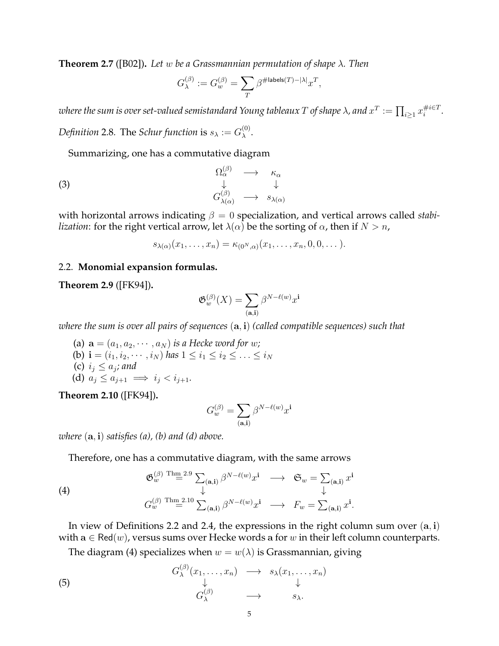**Theorem 2.7** ([B02])**.** *Let* w *be a Grassmannian permutation of shape* λ*. Then*

$$
G^{(\beta)}_{\lambda}:=G^{(\beta)}_w=\sum_{T}\beta^{\#\textsf{labels}(T)-|\lambda|}x^T,
$$

where the sum is over set-valued semistandard Young tableaux  $T$  of shape  $\lambda$ , and  $x^T:=\prod_{i\geq 1}x_i^{\#i\in T}$ i *. Definition* 2.8. The *Schur function* is  $s_\lambda := G_\lambda^{(0)}$  $\lambda^{\mathsf{(U)}}$ .

Summarizing, one has a commutative diagram

(3) 
$$
\begin{array}{ccc}\n\Omega_{\alpha}^{(\beta)} & \longrightarrow & \kappa_{\alpha} \\
\downarrow & & \downarrow \\
G_{\lambda(\alpha)}^{(\beta)} & \longrightarrow & s_{\lambda(\alpha)}\n\end{array}
$$

with horizontal arrows indicating β = 0 specialization, and vertical arrows called *stabilization*: for the right vertical arrow, let  $\lambda(\alpha)$  be the sorting of  $\alpha$ , then if  $N > n$ ,

$$
s_{\lambda(\alpha)}(x_1,\ldots,x_n)=\kappa_{(0^N,\alpha)}(x_1,\ldots,x_n,0,0,\ldots).
$$

## 2.2. **Monomial expansion formulas.**

**Theorem 2.9** ([FK94])**.**

$$
\mathfrak{G}_{w}^{(\beta)}(X) = \sum_{(\mathbf{a},\mathbf{i})} \beta^{N-\ell(w)} x^{\mathbf{i}}
$$

*where the sum is over all pairs of sequences* (a, i) *(called compatible sequences) such that*

(a)  $\mathbf{a} = (a_1, a_2, \cdots, a_N)$  *is a Hecke word for w;* (b) **i** =  $(i_1, i_2, \dots, i_N)$  *has*  $1 \le i_1 \le i_2 \le \dots \le i_N$ (c)  $i_j \leq a_j$ ; and (d)  $a_i \leq a_{i+1} \implies i_i < i_{i+1}$ .

**Theorem 2.10** ([FK94])**.**

$$
G_w^{(\beta)}=\sum_{({\mathbf{a}},{\mathbf{i}})} \beta^{N-\ell(w)} x^{\mathbf{i}}
$$

*where* (a, i) *satisfies (a), (b) and (d) above.*

Therefore, one has a commutative diagram, with the same arrows

(4)  
\n
$$
\mathfrak{G}_{w}^{(\beta)} \overset{\text{Thm }=2.9}{=} \sum_{(\mathbf{a},\mathbf{i})} \beta^{N-\ell(w)} x^{\mathbf{i}} \longrightarrow \mathfrak{S}_{w} = \sum_{(\mathbf{a},\mathbf{i})} x^{\mathbf{i}}
$$
\n
$$
G_{w}^{(\beta)} \overset{\text{Thm }=2.10}{=} \sum_{(\mathbf{a},\mathbf{i})} \beta^{N-\ell(w)} x^{\mathbf{i}} \longrightarrow F_{w} = \sum_{(\mathbf{a},\mathbf{i})} x^{\mathbf{i}}.
$$

In view of Definitions 2.2 and 2.4, the expressions in the right column sum over  $(a, i)$ with  $a \in \text{Red}(w)$ , versus sums over Hecke words a for w in their left column counterparts.

The diagram (4) specializes when  $w = w(\lambda)$  is Grassmannian, giving

(5) 
$$
G_{\lambda}^{(\beta)}(x_1,\ldots,x_n) \longrightarrow s_{\lambda}(x_1,\ldots,x_n) \downarrow \qquad \downarrow G_{\lambda}^{(\beta)} \longrightarrow s_{\lambda}.
$$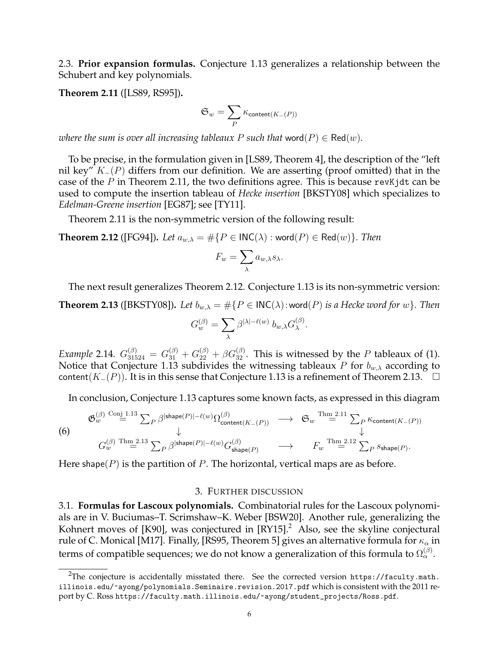2.3. **Prior expansion formulas.** Conjecture 1.13 generalizes a relationship between the Schubert and key polynomials.

**Theorem 2.11** ([LS89, RS95])**.**

$$
\mathfrak{S}_w = \sum_{P} \kappa_{\mathsf{content}(K_-(P))}
$$

*where the sum is over all increasing tableaux* P *such that* word $(P) \in \text{Red}(w)$ *.* 

To be precise, in the formulation given in [LS89, Theorem 4], the description of the "left nil key"  $K_-(P)$  differs from our definition. We are asserting (proof omitted) that in the case of the P in Theorem 2.11, the two definitions agree. This is because rev K jdt can be used to compute the insertion tableau of *Hecke insertion* [BKSTY08] which specializes to *Edelman-Greene insertion* [EG87]; see [TY11].

Theorem 2.11 is the non-symmetric version of the following result:

**Theorem 2.12** ([FG94]). *Let*  $a_{w,\lambda} = \#\{P \in {\sf INC}(\lambda) : \text{word}(P) \in \text{Red}(w)\}\$ . *Then* 

$$
F_w = \sum_{\lambda} a_{w,\lambda} s_{\lambda}.
$$

The next result generalizes Theorem 2.12. Conjecture 1.13 is its non-symmetric version:

**Theorem 2.13** ([BKSTY08]). Let  $b_{w,\lambda} = \#\{P \in \mathsf{INC}(\lambda) : \text{word}(P) \text{ is a Hecke word for } w\}$ . Then

$$
G_w^{(\beta)} = \sum_{\lambda} \beta^{|\lambda| - \ell(w)} b_{w,\lambda} G_{\lambda}^{(\beta)}.
$$

*Example* 2.14.  $G_{31524}^{(\beta)} = G_{31}^{(\beta)} + G_{22}^{(\beta)} + \beta G_{32}^{(\beta)}$ . This is witnessed by the P tableaux of (1). Notice that Conjecture 1.13 subdivides the witnessing tableaux  $P$  for  $b_{w,\lambda}$  according to content(K−(P)). It is in this sense that Conjecture 1.13 is a refinement of Theorem 2.13.  $\Box$ 

In conclusion, Conjecture 1.13 captures some known facts, as expressed in this diagram

$$
\begin{array}{ccc}\n\mathfrak{G}_{w}^{(\beta)} & \stackrel{\text{Conj 1.13}}{=} \sum_{P} \beta^{|\text{shape}(P)| - \ell(w)} \Omega_{\text{content}(K_{-}(P))}^{(\beta)} & \longrightarrow & \mathfrak{S}_{w} \stackrel{\text{Thm 2.11}}{=} \sum_{P} \kappa_{\text{content}(K_{-}(P))} \\
\downarrow & & \downarrow & \\
G_{w}^{(\beta)} & \stackrel{\text{Thm 2.13}}{=} \sum_{P} \beta^{|\text{shape}(P)| - \ell(w)} G_{\text{shape}(P)}^{(\beta)} & \longrightarrow & F_{w} \stackrel{\text{Thm 2.12}}{=} \sum_{P} s_{\text{shape}(P)}.\n\end{array}
$$

Here shape( $P$ ) is the partition of P. The horizontal, vertical maps are as before.

## 3. FURTHER DISCUSSION

3.1. **Formulas for Lascoux polynomials.** Combinatorial rules for the Lascoux polynomials are in V. Buciumas–T. Scrimshaw–K. Weber [BSW20]. Another rule, generalizing the Kohnert moves of  $[K90]$ , was conjectured in  $[RY15]<sup>2</sup>$  Also, see the skyline conjectural rule of C. Monical [M17]. Finally, [RS95, Theorem 5] gives an alternative formula for  $\kappa_{\alpha}$  in terms of compatible sequences; we do not know a generalization of this formula to  $\Omega^{(\beta)}_\alpha.$ 

<sup>&</sup>lt;sup>2</sup>The conjecture is accidentally misstated there. See the corrected version https://faculty.math. illinois.edu/~ayong/polynomials.Seminaire.revision.2017.pdf which is consistent with the 2011 report by C. Ross https://faculty.math.illinois.edu/~ayong/student\_projects/Ross.pdf.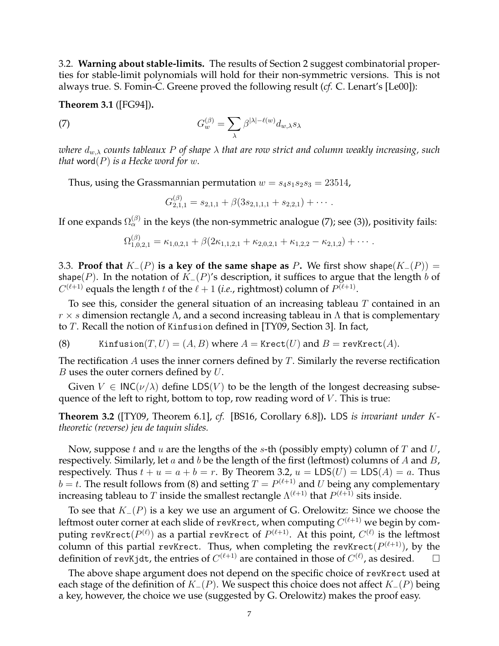3.2. **Warning about stable-limits.** The results of Section 2 suggest combinatorial properties for stable-limit polynomials will hold for their non-symmetric versions. This is not always true. S. Fomin-C. Greene proved the following result (*cf.* C. Lenart's [Le00]):

**Theorem 3.1** ([FG94])**.**

 $(8)$ 

(7) 
$$
G_w^{(\beta)} = \sum_{\lambda} \beta^{|\lambda| - \ell(w)} d_{w,\lambda} s_{\lambda}
$$

*where* dw,λ *counts tableaux* P *of shape* λ *that are row strict and column weakly increasing, such that* word $(P)$  *is a Hecke word for w.* 

Thus, using the Grassmannian permutation  $w = s_4 s_1 s_2 s_3 = 23514$ ,

$$
G_{2,1,1}^{(\beta)} = s_{2,1,1} + \beta(3s_{2,1,1,1} + s_{2,2,1}) + \cdots
$$

If one expands  $\Omega^{(\beta)}_\alpha$  in the keys (the non-symmetric analogue (7); see (3)), positivity fails:

$$
\Omega_{1,0,2,1}^{(p)} = \kappa_{1,0,2,1} + \beta (2\kappa_{1,1,2,1} + \kappa_{2,0,2,1} + \kappa_{1,2,2} - \kappa_{2,1,2}) + \cdots
$$

3.3. **Proof that**  $K_-(P)$  is a key of the same shape as P. We first show shape( $K_-(P)$ ) = shape(P). In the notation of  $K_-(P)$ 's description, it suffices to argue that the length b of  $C^{(\ell+1)}$  equals the length t of the  $\ell + 1$  (*i.e.*, rightmost) column of  $P^{(\ell+1)}$ .

To see this, consider the general situation of an increasing tableau  $T$  contained in an  $r \times s$  dimension rectangle  $\Lambda$ , and a second increasing tableau in  $\Lambda$  that is complementary to T. Recall the notion of Kinfusion defined in [TY09, Section 3]. In fact,

(8) Kinfusion $(T, U) = (A, B)$  where  $A =$  Krect $(U)$  and  $B =$  revKrect $(A)$ .

The rectification  $A$  uses the inner corners defined by  $T$ . Similarly the reverse rectification  $B$  uses the outer corners defined by  $U$ .

Given  $V \in \text{INC}(\nu/\lambda)$  define LDS(V) to be the length of the longest decreasing subsequence of the left to right, bottom to top, row reading word of  $V$ . This is true:

**Theorem 3.2** ([TY09, Theorem 6.1], *cf.* [BS16, Corollary 6.8])**.** LDS *is invariant under* K*theoretic (reverse) jeu de taquin slides.*

Now, suppose t and u are the lengths of the s-th (possibly empty) column of T and U, respectively. Similarly, let  $a$  and  $b$  be the length of the first (leftmost) columns of  $A$  and  $B$ , respectively. Thus  $t + u = a + b = r$ . By Theorem 3.2,  $u = LDS(U) = LDS(A) = a$ . Thus  $b = t$ . The result follows from (8) and setting  $T = P^{(\ell+1)}$  and U being any complementary increasing tableau to  $T$  inside the smallest rectangle  $\Lambda^{(\ell+1)}$  that  $P^{(\ell+1)}$  sits inside.

To see that  $K_-(P)$  is a key we use an argument of G. Orelowitz: Since we choose the leftmost outer corner at each slide of revKrect, when computing  $C^{(\ell+1)}$  we begin by computing revKrect $(P^{(\ell)})$  as a partial revKrect of  $P^{(\ell+1)}.$  At this point,  $C^{(\ell)}$  is the leftmost column of this partial revKrect. Thus, when completing the revKrect $(P^{(\ell+1)})$ , by the definition of revKjdt, the entries of  $C^{(\ell+1)}$  are contained in those of  $C^{(\ell)}$ , as desired.  $\Box$ 

The above shape argument does not depend on the specific choice of revKrect used at each stage of the definition of  $K_-(P)$ . We suspect this choice does not affect  $K_-(P)$  being a key, however, the choice we use (suggested by G. Orelowitz) makes the proof easy.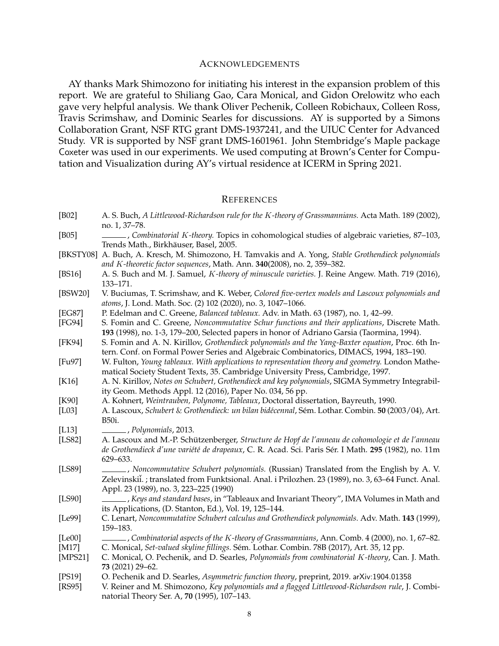#### ACKNOWLEDGEMENTS

AY thanks Mark Shimozono for initiating his interest in the expansion problem of this report. We are grateful to Shiliang Gao, Cara Monical, and Gidon Orelowitz who each gave very helpful analysis. We thank Oliver Pechenik, Colleen Robichaux, Colleen Ross, Travis Scrimshaw, and Dominic Searles for discussions. AY is supported by a Simons Collaboration Grant, NSF RTG grant DMS-1937241, and the UIUC Center for Advanced Study. VR is supported by NSF grant DMS-1601961. John Stembridge's Maple package Coxeter was used in our experiments. We used computing at Brown's Center for Computation and Visualization during AY's virtual residence at ICERM in Spring 2021.

#### **REFERENCES**

| [B02] | A. S. Buch, A Littlewood-Richardson rule for the K-theory of Grassmannians. Acta Math. 189 (2002), |  |
|-------|----------------------------------------------------------------------------------------------------|--|
|       | no. 1, 37–78.                                                                                      |  |
| IDAL1 | $C$ surbinstanial I/ theomy Tanics in colonization attribution of clashmate contation $.07, 102$   |  |

- [B05] , *Combinatorial* K*-theory.* Topics in cohomological studies of algebraic varieties, 87–103, Trends Math., Birkhäuser, Basel, 2005.
- [BKSTY08] A. Buch, A. Kresch, M. Shimozono, H. Tamvakis and A. Yong, *Stable Grothendieck polynomials and* K*-theoretic factor sequences*, Math. Ann. **340**(2008), no. 2, 359–382.
- [BS16] A. S. Buch and M. J. Samuel, K*-theory of minuscule varieties.* J. Reine Angew. Math. 719 (2016), 133–171.
- [BSW20] V. Buciumas, T. Scrimshaw, and K. Weber, *Colored five-vertex models and Lascoux polynomials and atoms*, J. Lond. Math. Soc. (2) 102 (2020), no. 3, 1047–1066.
- [EG87] P. Edelman and C. Greene, *Balanced tableaux.* Adv. in Math. 63 (1987), no. 1, 42–99.
- [FG94] S. Fomin and C. Greene, *Noncommutative Schur functions and their applications*, Discrete Math. **193** (1998), no. 1-3, 179–200, Selected papers in honor of Adriano Garsia (Taormina, 1994).
- [FK94] S. Fomin and A. N. Kirillov, *Grothendieck polynomials and the Yang-Baxter equation*, Proc. 6th Intern. Conf. on Formal Power Series and Algebraic Combinatorics, DIMACS, 1994, 183–190.
- [Fu97] W. Fulton, *Young tableaux. With applications to representation theory and geometry.* London Mathematical Society Student Texts, 35. Cambridge University Press, Cambridge, 1997.
- [K16] A. N. Kirillov, *Notes on Schubert, Grothendieck and key polynomials*, SIGMA Symmetry Integrability Geom. Methods Appl. 12 (2016), Paper No. 034, 56 pp.
- [K90] A. Kohnert, *Weintrauben, Polynome, Tableaux*, Doctoral dissertation, Bayreuth, 1990.
- [L03] A. Lascoux, *Schubert* & *Grothendieck: un bilan bid´ecennal*, Sem. Lothar. Combin. ´ **50** (2003/04), Art. B50i.
- [L13] , *Polynomials*, 2013.
- [LS82] A. Lascoux and M.-P. Schützenberger, Structure de Hopf de l'anneau de cohomologie et de l'anneau de Grothendieck d'une variété de drapeaux, C. R. Acad. Sci. Paris Sér. I Math. 295 (1982), no. 11m 629–633.
- [LS89] , *Noncommutative Schubert polynomials.* (Russian) Translated from the English by A. V. Zelevinskiĭ. ; translated from Funktsional. Anal. i Prilozhen. 23 (1989), no. 3, 63–64 Funct. Anal. Appl. 23 (1989), no. 3, 223–225 (1990)
- [LS90] , *Keys and standard bases*, in "Tableaux and Invariant Theory", IMA Volumes in Math and its Applications, (D. Stanton, Ed.), Vol. 19, 125–144.
- [Le99] C. Lenart, *Noncommutative Schubert calculus and Grothendieck polynomials.* Adv. Math. **143** (1999), 159–183.
- [Le00] , *Combinatorial aspects of the* K*-theory of Grassmannians*, Ann. Comb. 4 (2000), no. 1, 67–82. [M17] C. Monical, *Set-valued skyline fillings.* Sem. Lothar. Combin. 78B (2017), Art. 35, 12 pp. ´
- [MPS21] C. Monical, O. Pechenik, and D. Searles, *Polynomials from combinatorial* K*-theory*, Can. J. Math. **73** (2021) 29–62.
- [PS19] O. Pechenik and D. Searles, *Asymmetric function theory*, preprint, 2019. arXiv:1904.01358
- [RS95] V. Reiner and M. Shimozono, *Key polynomials and a flagged Littlewood-Richardson rule*, J. Combinatorial Theory Ser. A, **70** (1995), 107–143.